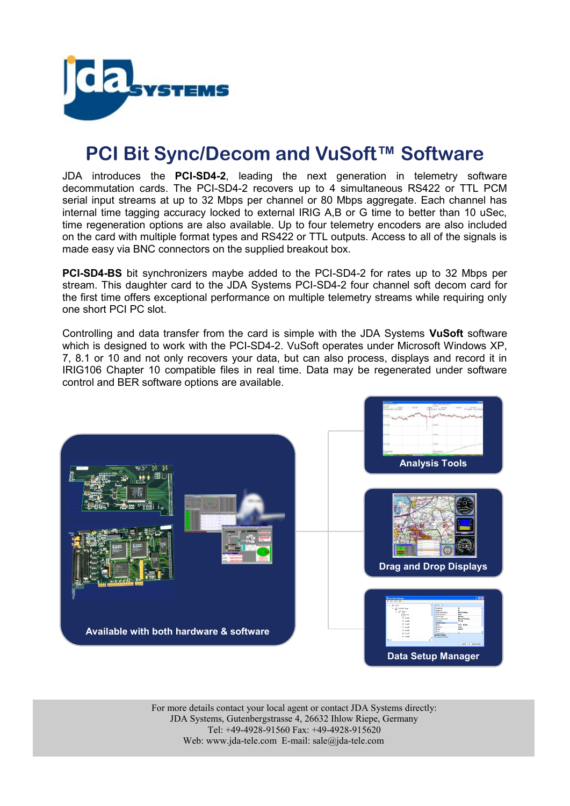

## **PCI Bit Sync/Decom and VuSoft™ Software**

JDA introduces the **PCI-SD4-2**, leading the next generation in telemetry software decommutation cards. The PCI-SD4-2 recovers up to 4 simultaneous RS422 or TTL PCM serial input streams at up to 32 Mbps per channel or 80 Mbps aggregate. Each channel has internal time tagging accuracy locked to external IRIG A,B or G time to better than 10 uSec, time regeneration options are also available. Up to four telemetry encoders are also included on the card with multiple format types and RS422 or TTL outputs. Access to all of the signals is made easy via BNC connectors on the supplied breakout box.

**PCI-SD4-BS** bit synchronizers maybe added to the PCI-SD4-2 for rates up to 32 Mbps per stream. This daughter card to the JDA Systems PCI-SD4-2 four channel soft decom card for the first time offers exceptional performance on multiple telemetry streams while requiring only one short PCI PC slot.

Controlling and data transfer from the card is simple with the JDA Systems **VuSoft** software which is designed to work with the PCI-SD4-2. VuSoft operates under Microsoft Windows XP, 7, 8.1 or 10 and not only recovers your data, but can also process, displays and record it in IRIG106 Chapter 10 compatible files in real time. Data may be regenerated under software control and BER software options are available.



For more details contact your local agent or contact JDA Systems directly: JDA Systems, Gutenbergstrasse 4, 26632 Ihlow Riepe, Germany Tel: +49-4928-91560 Fax: +49-4928-915620 Web: www.jda-tele.com E-mail: sale@jda-tele.com